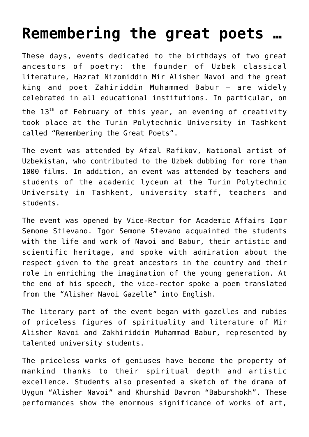## **[Remembering the great poets …](https://polito.uz/6437/)**

These days, events dedicated to the birthdays of two great ancestors of poetry: the founder of Uzbek classical literature, Hazrat Nizomiddin Mir Alisher Navoi and the great king and poet Zahiriddin Muhammed Babur – are widely celebrated in all educational institutions. In particular, on the  $13<sup>th</sup>$  of February of this year, an evening of creativity took place at the Turin Polytechnic University in Tashkent called "Remembering the Great Poets".

The event was attended by Afzal Rafikov, National artist of Uzbekistan, who contributed to the Uzbek dubbing for more than 1000 films. In addition, an event was attended by teachers and students of the academic lyceum at the Turin Polytechnic University in Tashkent, university staff, teachers and students.

The event was opened by Vice-Rector for Academic Affairs Igor Semone Stievano. Igor Semone Stevano acquainted the students with the life and work of Navoi and Babur, their artistic and scientific heritage, and spoke with admiration about the respect given to the great ancestors in the country and their role in enriching the imagination of the young generation. At the end of his speech, the vice-rector spoke a poem translated from the "Alisher Navoi Gazelle" into English.

The literary part of the event began with gazelles and rubies of priceless figures of spirituality and literature of Mir Alisher Navoi and Zakhiriddin Muhammad Babur, represented by talented university students.

The priceless works of geniuses have become the property of mankind thanks to their spiritual depth and artistic excellence. Students also presented a sketch of the drama of Uygun "Alisher Navoi" and Khurshid Davron "Baburshokh". These performances show the enormous significance of works of art,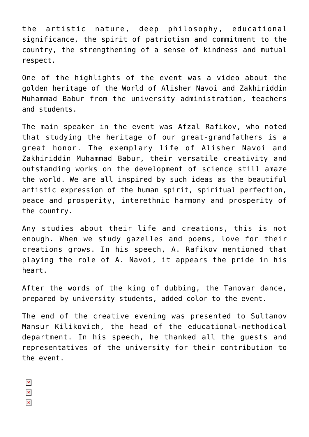the artistic nature, deep philosophy, educational significance, the spirit of patriotism and commitment to the country, the strengthening of a sense of kindness and mutual respect.

One of the highlights of the event was a video about the golden heritage of the World of Alisher Navoi and Zakhiriddin Muhammad Babur from the university administration, teachers and students.

The main speaker in the event was Afzal Rafikov, who noted that studying the heritage of our great-grandfathers is a great honor. The exemplary life of Alisher Navoi and Zakhiriddin Muhammad Babur, their versatile creativity and outstanding works on the development of science still amaze the world. We are all inspired by such ideas as the beautiful artistic expression of the human spirit, spiritual perfection, peace and prosperity, interethnic harmony and prosperity of the country.

Any studies about their life and creations, this is not enough. When we study gazelles and poems, love for their creations grows. In his speech, A. Rafikov mentioned that playing the role of A. Navoi, it appears the pride in his heart.

After the words of the king of dubbing, the Tanovar dance, prepared by university students, added color to the event.

The end of the creative evening was presented to Sultanov Mansur Kilikovich, the head of the educational-methodical department. In his speech, he thanked all the guests and representatives of the university for their contribution to the event.

- $\pmb{\times}$
- $\pmb{\times}$
- $\pmb{\times}$